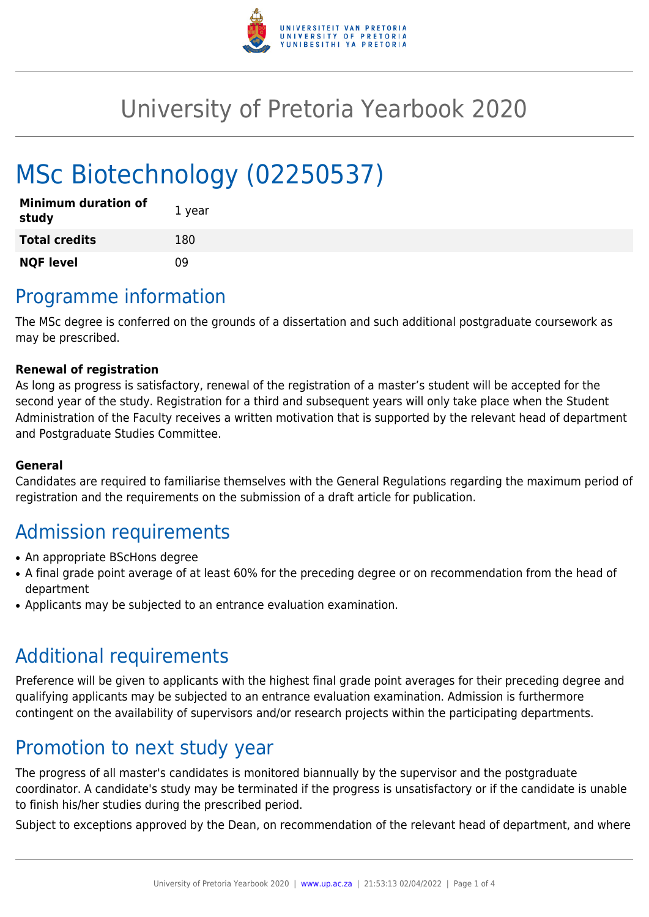

# University of Pretoria Yearbook 2020

# MSc Biotechnology (02250537)

| <b>Minimum duration of</b><br>study | 1 year |
|-------------------------------------|--------|
| <b>Total credits</b>                | 180    |
| <b>NQF level</b>                    | n۹     |

# Programme information

The MSc degree is conferred on the grounds of a dissertation and such additional postgraduate coursework as may be prescribed.

### **Renewal of registration**

As long as progress is satisfactory, renewal of the registration of a master's student will be accepted for the second year of the study. Registration for a third and subsequent years will only take place when the Student Administration of the Faculty receives a written motivation that is supported by the relevant head of department and Postgraduate Studies Committee.

### **General**

Candidates are required to familiarise themselves with the General Regulations regarding the maximum period of registration and the requirements on the submission of a draft article for publication.

# Admission requirements

- An appropriate BScHons degree
- A final grade point average of at least 60% for the preceding degree or on recommendation from the head of department
- Applicants may be subjected to an entrance evaluation examination.

## Additional requirements

Preference will be given to applicants with the highest final grade point averages for their preceding degree and qualifying applicants may be subjected to an entrance evaluation examination. Admission is furthermore contingent on the availability of supervisors and/or research projects within the participating departments.

## Promotion to next study year

The progress of all master's candidates is monitored biannually by the supervisor and the postgraduate coordinator. A candidate's study may be terminated if the progress is unsatisfactory or if the candidate is unable to finish his/her studies during the prescribed period.

Subject to exceptions approved by the Dean, on recommendation of the relevant head of department, and where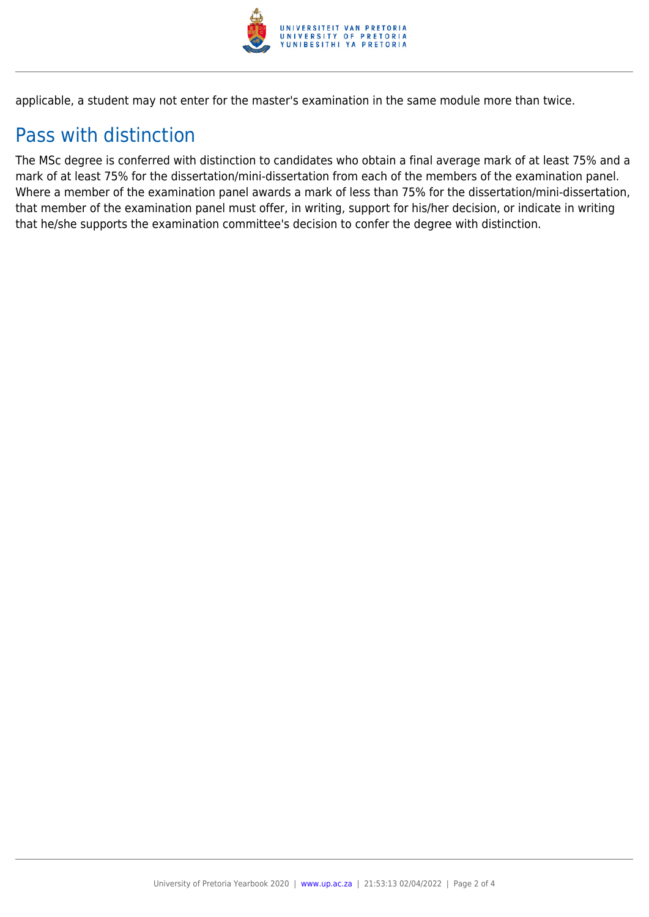

applicable, a student may not enter for the master's examination in the same module more than twice.

# Pass with distinction

The MSc degree is conferred with distinction to candidates who obtain a final average mark of at least 75% and a mark of at least 75% for the dissertation/mini-dissertation from each of the members of the examination panel. Where a member of the examination panel awards a mark of less than 75% for the dissertation/mini-dissertation, that member of the examination panel must offer, in writing, support for his/her decision, or indicate in writing that he/she supports the examination committee's decision to confer the degree with distinction.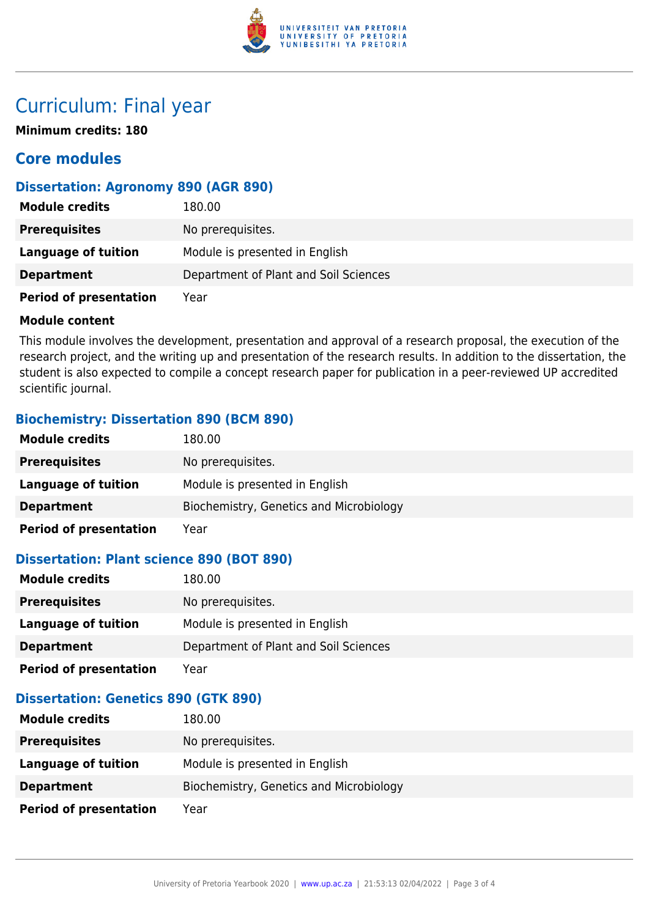

## Curriculum: Final year

**Minimum credits: 180**

### **Core modules**

### **Dissertation: Agronomy 890 (AGR 890)**

| <b>Module credits</b>         | 180.00                                |
|-------------------------------|---------------------------------------|
| <b>Prerequisites</b>          | No prerequisites.                     |
| Language of tuition           | Module is presented in English        |
| <b>Department</b>             | Department of Plant and Soil Sciences |
| <b>Period of presentation</b> | Year                                  |

#### **Module content**

This module involves the development, presentation and approval of a research proposal, the execution of the research project, and the writing up and presentation of the research results. In addition to the dissertation, the student is also expected to compile a concept research paper for publication in a peer-reviewed UP accredited scientific journal.

### **Biochemistry: Dissertation 890 (BCM 890)**

| <b>Module credits</b>         | 180.00                                  |
|-------------------------------|-----------------------------------------|
| <b>Prerequisites</b>          | No prerequisites.                       |
| <b>Language of tuition</b>    | Module is presented in English          |
| <b>Department</b>             | Biochemistry, Genetics and Microbiology |
| <b>Period of presentation</b> | Year                                    |

### **Dissertation: Plant science 890 (BOT 890)**

| <b>Module credits</b>         | 180.00                                |
|-------------------------------|---------------------------------------|
| <b>Prerequisites</b>          | No prerequisites.                     |
| Language of tuition           | Module is presented in English        |
| <b>Department</b>             | Department of Plant and Soil Sciences |
| <b>Period of presentation</b> | Year                                  |

### **Dissertation: Genetics 890 (GTK 890)**

| <b>Module credits</b>         | 180.00                                  |
|-------------------------------|-----------------------------------------|
| <b>Prerequisites</b>          | No prerequisites.                       |
| Language of tuition           | Module is presented in English          |
| <b>Department</b>             | Biochemistry, Genetics and Microbiology |
| <b>Period of presentation</b> | Year                                    |